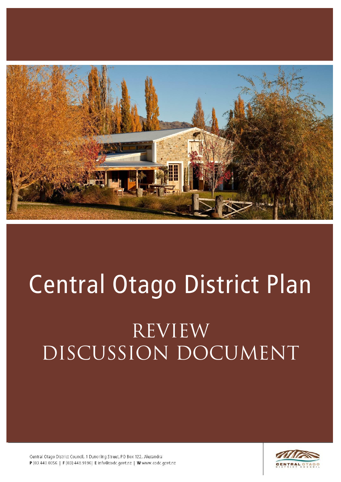

# Central Otago District Plan **REVIEW** Discussion Document



Central Otago District Council, 1 Dunorling Street, PO Box 122, Alexandra P (03 440 0056 | F (03) 448 9196| Einfo@codc.govt.nz | W www.codc.govt.nz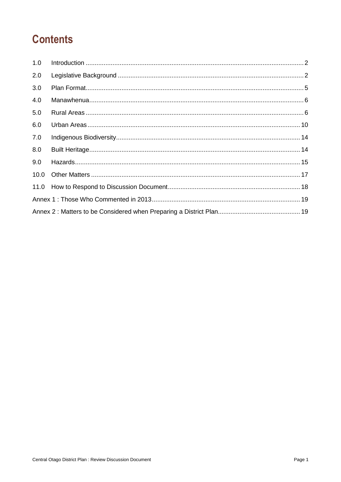# **Contents**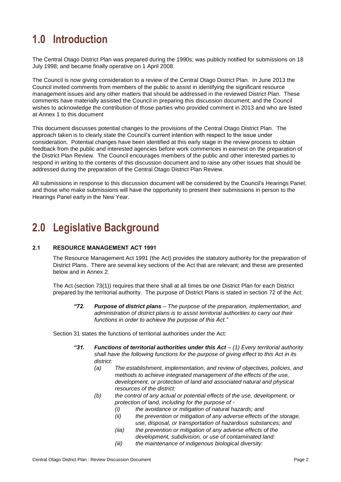# <span id="page-2-0"></span>**1.0 Introduction**

The Central Otago District Plan was prepared during the 1990s; was publicly notified for submissions on 18 July 1998; and became finally operative on 1 April 2008.

The Council is now giving consideration to a review of the Central Otago District Plan. In June 2013 the Council invited comments from members of the public to assist in identifying the significant resource management issues and any other matters that should be addressed in the reviewed District Plan. These comments have materially assisted the Council in preparing this discussion document; and the Council wishes to acknowledge the contribution of those parties who provided comment in 2013 and who are listed at Annex 1 to this document

This document discusses potential changes to the provisions of the Central Otago District Plan. The approach taken is to clearly state the Council's current intention with respect to the issue under consideration. Potential changes have been identified at this early stage in the review process to obtain feedback from the public and interested agencies before work commences in earnest on the preparation of the District Plan Review. The Council encourages members of the public and other interested parties to respond in writing to the contents of this discussion document and to raise any other issues that should be addressed during the preparation of the Central Otago District Plan Review.

All submissions in response to this discussion document will be considered by the Council's Hearings Panel; and those who make submissions will have the opportunity to present their submissions in person to the Hearings Panel early in the New Year.

# <span id="page-2-1"></span>**2.0 Legislative Background**

## **2.1 RESOURCE MANAGEMENT ACT 1991**

The Resource Management Act 1991 (the Act) provides the statutory authority for the preparation of District Plans. There are several key sections of the Act that are relevant; and these are presented below and in Annex 2.

The Act (section 73(1)) requires that there shall at all times be one District Plan for each District prepared by the territorial authority. The purpose of District Plans is stated in section 72 of the Act:

*"72. Purpose of district plans – The purpose of the preparation, implementation, and administration of district plans is to assist territorial authorities to carry out their functions in order to achieve the purpose of this Act."*

Section 31 states the functions of territorial authorities under the Act:

- *"31. Functions of territorial authorities under this Act – (1) Every territorial authority shall have the following functions for the purpose of giving effect to this Act in its district:*
	- *(a) The establishment, implementation, and review of objectives, policies, and methods to achieve integrated management of the effects of the use, development, or protection of land and associated natural and physical resources of the district:*
	- *(b) the control of any actual or potential effects of the use, development, or protection of land, including for the purpose of -*
		- *(i) the avoidance or mitigation of natural hazards; and*
		- *(ii) the prevention or mitigation of any adverse effects of the storage, use, disposal, or transportation of hazardous substances; and*
		- *(iia) the prevention or mitigation of any adverse effects of the development, subdivision, or use of contaminated land:*
		- *(iii) the maintenance of indigenous biological diversity:*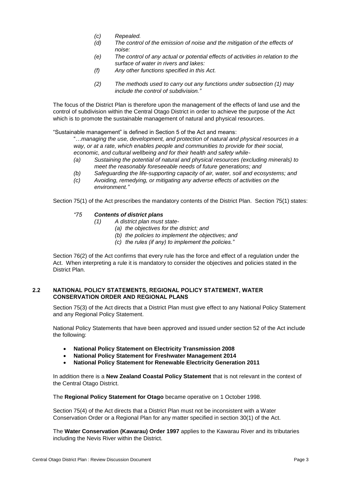- *(c) Repealed.*
- *(d) The control of the emission of noise and the mitigation of the effects of noise:*
- *(e) The control of any actual or potential effects of activities in relation to the surface of water in rivers and lakes:*
- *(f) Any other functions specified in this Act.*
- *(2) The methods used to carry out any functions under subsection (1) may include the control of subdivision."*

The focus of the District Plan is therefore upon the management of the effects of land use and the control of subdivision within the Central Otago District in order to achieve the purpose of the Act which is to promote the sustainable management of natural and physical resources.

"Sustainable management" is defined in Section 5 of the Act and means:

"…*managing the use, development, and protection of natural and physical resources in a way, or at a rate, which enables people and communities to provide for their social, economic, and cultural wellbeing and for their health and safety while-*

- *(a) Sustaining the potential of natural and physical resources (excluding minerals) to meet the reasonably foreseeable needs of future generations; and*
- *(b) Safeguarding the life-supporting capacity of air, water, soil and ecosystems; and*
- *(c) Avoiding, remedying, or mitigating any adverse effects of activities on the environment."*

Section 75(1) of the Act prescribes the mandatory contents of the District Plan. Section 75(1) states:

# *"75 Contents of district plans*

*(1) A district plan must state-*

- *(a) the objectives for the district; and*
- *(b) the policies to implement the objectives; and*
- *(c) the rules (if any) to implement the policies."*

Section 76(2) of the Act confirms that every rule has the force and effect of a regulation under the Act. When interpreting a rule it is mandatory to consider the objectives and policies stated in the District Plan.

#### **2.2 NATIONAL POLICY STATEMENTS, REGIONAL POLICY STATEMENT, WATER CONSERVATION ORDER AND REGIONAL PLANS**

Section 75(3) of the Act directs that a District Plan must give effect to any National Policy Statement and any Regional Policy Statement.

National Policy Statements that have been approved and issued under section 52 of the Act include the following:

- **National Policy Statement on Electricity Transmission 2008**
- **National Policy Statement for Freshwater Management 2014**
- **National Policy Statement for Renewable Electricity Generation 2011**

In addition there is a **New Zealand Coastal Policy Statement** that is not relevant in the context of the Central Otago District.

The **Regional Policy Statement for Otago** became operative on 1 October 1998.

Section 75(4) of the Act directs that a District Plan must not be inconsistent with a Water Conservation Order or a Regional Plan for any matter specified in section 30(1) of the Act.

The **Water Conservation (Kawarau) Order 1997** applies to the Kawarau River and its tributaries including the Nevis River within the District.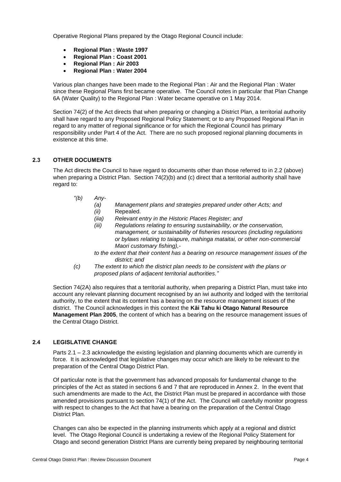Operative Regional Plans prepared by the Otago Regional Council include:

- **Regional Plan : Waste 1997**
- **Regional Plan : Coast 2001**
- **Regional Plan : Air 2003**
- **Regional Plan : Water 2004**

Various plan changes have been made to the Regional Plan : Air and the Regional Plan : Water since these Regional Plans first became operative. The Council notes in particular that Plan Change 6A (Water Quality) to the Regional Plan : Water became operative on 1 May 2014.

Section 74(2) of the Act directs that when preparing or changing a District Plan, a territorial authority shall have regard to any Proposed Regional Policy Statement; or to any Proposed Regional Plan in regard to any matter of regional significance or for which the Regional Council has primary responsibility under Part 4 of the Act. There are no such proposed regional planning documents in existence at this time.

# **2.3 OTHER DOCUMENTS**

The Act directs the Council to have regard to documents other than those referred to in 2.2 (above) when preparing a District Plan. Section 74(2)(b) and (c) direct that a territorial authority shall have regard to:

- *"(b) Any-*
	- *(a) Management plans and strategies prepared under other Acts; and*
	- *(ii)* Repealed.
	- *(iia) Relevant entry in the Historic Places Register; and*
	- *(iii) Regulations relating to ensuring sustainability, or the conservation, management, or sustainability of fisheries resources (including regulations or bylaws relating to taiapure, mahinga mataitai, or other non-commercial Maori customary fishing),-*
	- *to the extent that their content has a bearing on resource management issues of the district; and*
- *(c) The extent to which the district plan needs to be consistent with the plans or proposed plans of adjacent territorial authorities."*

Section 74(2A) also requires that a territorial authority, when preparing a District Plan, must take into account any relevant planning document recognised by an iwi authority and lodged with the territorial authority, to the extent that its content has a bearing on the resource management issues of the district. The Council acknowledges in this context the **Kāi Tahu ki Otago Natural Resource Management Plan 2005**, the content of which has a bearing on the resource management issues of the Central Otago District.

## **2.4 LEGISLATIVE CHANGE**

Parts 2.1 – 2.3 acknowledge the existing legislation and planning documents which are currently in force. It is acknowledged that legislative changes may occur which are likely to be relevant to the preparation of the Central Otago District Plan.

Of particular note is that the government has advanced proposals for fundamental change to the principles of the Act as stated in sections 6 and 7 that are reproduced in Annex 2. In the event that such amendments are made to the Act, the District Plan must be prepared in accordance with those amended provisions pursuant to section 74(1) of the Act. The Council will carefully monitor progress with respect to changes to the Act that have a bearing on the preparation of the Central Otago District Plan.

Changes can also be expected in the planning instruments which apply at a regional and district level. The Otago Regional Council is undertaking a review of the Regional Policy Statement for Otago and second generation District Plans are currently being prepared by neighbouring territorial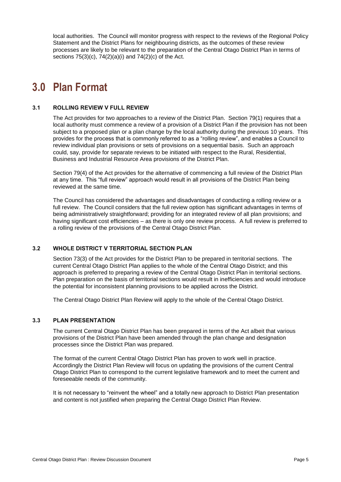local authorities. The Council will monitor progress with respect to the reviews of the Regional Policy Statement and the District Plans for neighbouring districts, as the outcomes of these review processes are likely to be relevant to the preparation of the Central Otago District Plan in terms of sections 75(3)(c), 74(2)(a)(i) and 74(2)(c) of the Act.

# <span id="page-5-0"></span>**3.0 Plan Format**

#### **3.1 ROLLING REVIEW V FULL REVIEW**

The Act provides for two approaches to a review of the District Plan. Section 79(1) requires that a local authority must commence a review of a provision of a District Plan if the provision has not been subject to a proposed plan or a plan change by the local authority during the previous 10 years. This provides for the process that is commonly referred to as a "rolling review", and enables a Council to review individual plan provisions or sets of provisions on a sequential basis. Such an approach could, say, provide for separate reviews to be initiated with respect to the Rural, Residential, Business and Industrial Resource Area provisions of the District Plan.

Section 79(4) of the Act provides for the alternative of commencing a full review of the District Plan at any time. This "full review" approach would result in all provisions of the District Plan being reviewed at the same time.

The Council has considered the advantages and disadvantages of conducting a rolling review or a full review. The Council considers that the full review option has significant advantages in terms of being administratively straightforward; providing for an integrated review of all plan provisions; and having significant cost efficiencies – as there is only one review process. A full review is preferred to a rolling review of the provisions of the Central Otago District Plan.

# **3.2 WHOLE DISTRICT V TERRITORIAL SECTION PLAN**

Section 73(3) of the Act provides for the District Plan to be prepared in territorial sections. The current Central Otago District Plan applies to the whole of the Central Otago District; and this approach is preferred to preparing a review of the Central Otago District Plan in territorial sections. Plan preparation on the basis of territorial sections would result in inefficiencies and would introduce the potential for inconsistent planning provisions to be applied across the District.

The Central Otago District Plan Review will apply to the whole of the Central Otago District.

## **3.3 PLAN PRESENTATION**

The current Central Otago District Plan has been prepared in terms of the Act albeit that various provisions of the District Plan have been amended through the plan change and designation processes since the District Plan was prepared.

The format of the current Central Otago District Plan has proven to work well in practice. Accordingly the District Plan Review will focus on updating the provisions of the current Central Otago District Plan to correspond to the current legislative framework and to meet the current and foreseeable needs of the community.

It is not necessary to "reinvent the wheel" and a totally new approach to District Plan presentation and content is not justified when preparing the Central Otago District Plan Review.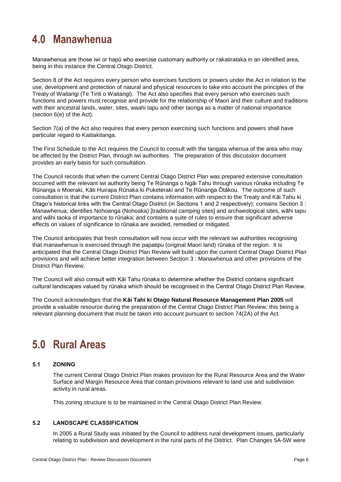# <span id="page-6-0"></span>**4.0 Manawhenua**

Manawhenua are those iwi or hapū who exercise customary authority or rakatirataka in an identified area, being in this instance the Central Otago District.

Section 8 of the Act requires every person who exercises functions or powers under the Act in relation to the use, development and protection of natural and physical resources to take into account the principles of the Treaty of Waitangi (Te Tiriti o Waitangi). The Act also specifies that every person who exercises such functions and powers must recognise and provide for the relationship of Maori and their culture and traditions with their ancestral lands, water, sites, waahi tapu and other taonga as a matter of national importance (section 6(e) of the Act).

Section 7(a) of the Act also requires that every person exercising such functions and powers shall have particular regard to Kaitiakitanga.

The First Schedule to the Act requires the Council to consult with the tangata whenua of the area who may be affected by the District Plan, through iwi authorities. The preparation of this discussion document provides an early basis for such consultation.

The Council records that when the current Central Otago District Plan was prepared extensive consultation occurred with the relevant iwi authority being Te Rūnanga o Ngāi Tahu through various rūnaka including Te Rūnanga o Moeraki, Kāti Huirapa Rūnaka ki Puketeraki and Te Rūnanga Ṑtākou. The outcome of such consultation is that the current District Plan contains information with respect to the Treaty and Kāi Tahu ki Otago's historical links with the Central Otago District (in Sections 1 and 2 respectively); contains Section 3 : Manawhenua; identifies Nohoanga (Nohoaka) [traditional camping sites] and archaeological sites, wāhi tapu and wāhi taoka of importance to rūnaka; and contains a suite of rules to ensure that significant adverse effects on values of significance to rūnaka are avoided, remedied or mitigated.

The Council anticipates that fresh consultation will now occur with the relevant iwi authorities recognising that manawhenua is exercised through the papatipu (original Maori land) rūnaka of the region. It is anticipated that the Central Otago District Plan Review will build upon the current Central Otago District Plan provisions and will achieve better integration between Section 3 : Manawhenua and other provisions of the District Plan Review.

The Council will also consult with Kāi Tahu rūnaka to determine whether the District contains significant cultural landscapes valued by rūnaka which should be recognised in the Central Otago District Plan Review.

The Council acknowledges that the **Kāi Tahi ki Otago Natural Resource Management Plan 2005** will provide a valuable resource during the preparation of the Central Otago District Plan Review; this being a relevant planning document that must be taken into account pursuant to section 74(2A) of the Act.

# <span id="page-6-1"></span>**5.0 Rural Areas**

## **5.1 ZONING**

The current Central Otago District Plan makes provision for the Rural Resource Area and the Water Surface and Margin Resource Area that contain provisions relevant to land use and subdivision activity in rural areas.

This zoning structure is to be maintained in the Central Otago District Plan Review.

# **5.2 LANDSCAPE CLASSIFICATION**

In 2005 a Rural Study was initiated by the Council to address rural development issues, particularly relating to subdivision and development in the rural parts of the District. Plan Changes 5A-5W were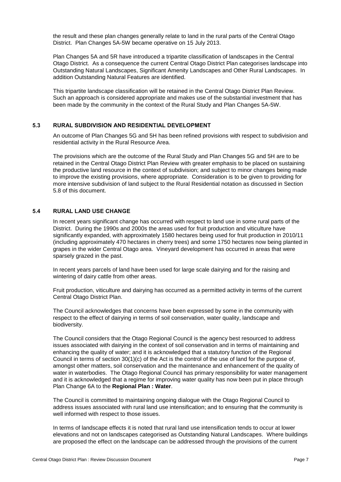the result and these plan changes generally relate to land in the rural parts of the Central Otago District. Plan Changes 5A-5W became operative on 15 July 2013.

Plan Changes 5A and 5R have introduced a tripartite classification of landscapes in the Central Otago District. As a consequence the current Central Otago District Plan categorises landscape into Outstanding Natural Landscapes, Significant Amenity Landscapes and Other Rural Landscapes. In addition Outstanding Natural Features are identified.

This tripartite landscape classification will be retained in the Central Otago District Plan Review. Such an approach is considered appropriate and makes use of the substantial investment that has been made by the community in the context of the Rural Study and Plan Changes 5A-5W.

#### **5.3 RURAL SUBDIVISION AND RESIDENTIAL DEVELOPMENT**

An outcome of Plan Changes 5G and 5H has been refined provisions with respect to subdivision and residential activity in the Rural Resource Area.

The provisions which are the outcome of the Rural Study and Plan Changes 5G and 5H are to be retained in the Central Otago District Plan Review with greater emphasis to be placed on sustaining the productive land resource in the context of subdivision; and subject to minor changes being made to improve the existing provisions, where appropriate. Consideration is to be given to providing for more intensive subdivision of land subject to the Rural Residential notation as discussed in Section 5.8 of this document.

#### **5.4 RURAL LAND USE CHANGE**

In recent years significant change has occurred with respect to land use in some rural parts of the District. During the 1990s and 2000s the areas used for fruit production and viticulture have significantly expanded, with approximately 1580 hectares being used for fruit production in 2010/11 (including approximately 470 hectares in cherry trees) and some 1750 hectares now being planted in grapes in the wider Central Otago area. Vineyard development has occurred in areas that were sparsely grazed in the past.

In recent years parcels of land have been used for large scale dairying and for the raising and wintering of dairy cattle from other areas.

Fruit production, viticulture and dairying has occurred as a permitted activity in terms of the current Central Otago District Plan.

The Council acknowledges that concerns have been expressed by some in the community with respect to the effect of dairying in terms of soil conservation, water quality, landscape and biodiversity.

The Council considers that the Otago Regional Council is the agency best resourced to address issues associated with dairying in the context of soil conservation and in terms of maintaining and enhancing the quality of water; and it is acknowledged that a statutory function of the Regional Council in terms of section 30(1)(c) of the Act is the control of the use of land for the purpose of, amongst other matters, soil conservation and the maintenance and enhancement of the quality of water in waterbodies. The Otago Regional Council has primary responsibility for water management and it is acknowledged that a regime for improving water quality has now been put in place through Plan Change 6A to the **Regional Plan : Water**.

The Council is committed to maintaining ongoing dialogue with the Otago Regional Council to address issues associated with rural land use intensification; and to ensuring that the community is well informed with respect to those issues.

In terms of landscape effects it is noted that rural land use intensification tends to occur at lower elevations and not on landscapes categorised as Outstanding Natural Landscapes. Where buildings are proposed the effect on the landscape can be addressed through the provisions of the current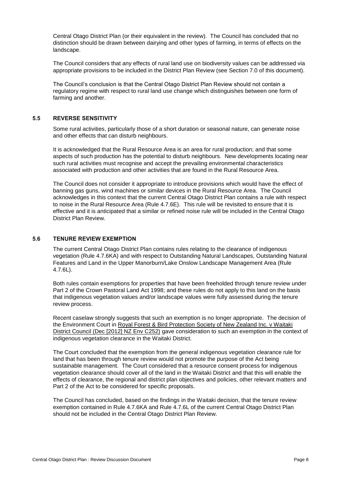Central Otago District Plan (or their equivalent in the review). The Council has concluded that no distinction should be drawn between dairying and other types of farming, in terms of effects on the landscape.

The Council considers that any effects of rural land use on biodiversity values can be addressed via appropriate provisions to be included in the District Plan Review (see Section 7.0 of this document).

The Council's conclusion is that the Central Otago District Plan Review should not contain a regulatory regime with respect to rural land use change which distinguishes between one form of farming and another.

#### **5.5 REVERSE SENSITIVITY**

Some rural activities, particularly those of a short duration or seasonal nature, can generate noise and other effects that can disturb neighbours.

It is acknowledged that the Rural Resource Area is an area for rural production; and that some aspects of such production has the potential to disturb neighbours. New developments locating near such rural activities must recognise and accept the prevailing environmental characteristics associated with production and other activities that are found in the Rural Resource Area.

The Council does not consider it appropriate to introduce provisions which would have the effect of banning gas guns, wind machines or similar devices in the Rural Resource Area. The Council acknowledges in this context that the current Central Otago District Plan contains a rule with respect to noise in the Rural Resource Area (Rule 4.7.6E). This rule will be revisited to ensure that it is effective and it is anticipated that a similar or refined noise rule will be included in the Central Otago District Plan Review.

### **5.6 TENURE REVIEW EXEMPTION**

The current Central Otago District Plan contains rules relating to the clearance of indigenous vegetation (Rule 4.7.6KA) and with respect to Outstanding Natural Landscapes, Outstanding Natural Features and Land in the Upper Manorburn/Lake Onslow Landscape Management Area (Rule 4.7.6L).

Both rules contain exemptions for properties that have been freeholded through tenure review under Part 2 of the Crown Pastoral Land Act 1998; and these rules do not apply to this land on the basis that indigenous vegetation values and/or landscape values were fully assessed during the tenure review process.

Recent caselaw strongly suggests that such an exemption is no longer appropriate. The decision of the Environment Court in Royal Forest & Bird Protection Society of New Zealand Inc. v Waitaki District Council (Dec [2012] NZ Env C252) gave consideration to such an exemption in the context of indigenous vegetation clearance in the Waitaki District.

The Court concluded that the exemption from the general indigenous vegetation clearance rule for land that has been through tenure review would not promote the purpose of the Act being sustainable management. The Court considered that a resource consent process for indigenous vegetation clearance should cover all of the land in the Waitaki District and that this will enable the effects of clearance, the regional and district plan objectives and policies, other relevant matters and Part 2 of the Act to be considered for specific proposals.

The Council has concluded, based on the findings in the Waitaki decision, that the tenure review exemption contained in Rule 4.7.6KA and Rule 4.7.6L of the current Central Otago District Plan should not be included in the Central Otago District Plan Review.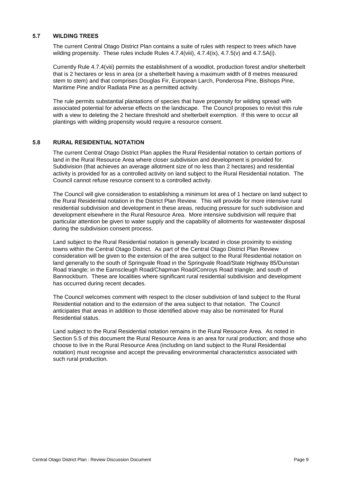#### **5.7 WILDING TREES**

The current Central Otago District Plan contains a suite of rules with respect to trees which have wilding propensity. These rules include Rules 4.7.4(viii), 4.7.4(ix), 4.7.5(v) and 4.7.5A(i).

Currently Rule 4.7.4(viii) permits the establishment of a woodlot, production forest and/or shelterbelt that is 2 hectares or less in area (or a shelterbelt having a maximum width of 8 metres measured stem to stem) and that comprises Douglas Fir, European Larch, Ponderosa Pine, Bishops Pine, Maritime Pine and/or Radiata Pine as a permitted activity.

The rule permits substantial plantations of species that have propensity for wilding spread with associated potential for adverse effects on the landscape. The Council proposes to revisit this rule with a view to deleting the 2 hectare threshold and shelterbelt exemption. If this were to occur all plantings with wilding propensity would require a resource consent.

## **5.8 RURAL RESIDENTIAL NOTATION**

The current Central Otago District Plan applies the Rural Residential notation to certain portions of land in the Rural Resource Area where closer subdivision and development is provided for. Subdivision (that achieves an average allotment size of no less than 2 hectares) and residential activity is provided for as a controlled activity on land subject to the Rural Residential notation. The Council cannot refuse resource consent to a controlled activity.

The Council will give consideration to establishing a minimum lot area of 1 hectare on land subject to the Rural Residential notation in the District Plan Review. This will provide for more intensive rural residential subdivision and development in these areas, reducing pressure for such subdivision and development elsewhere in the Rural Resource Area. More intensive subdivision will require that particular attention be given to water supply and the capability of allotments for wastewater disposal during the subdivision consent process.

Land subject to the Rural Residential notation is generally located in close proximity to existing towns within the Central Otago District. As part of the Central Otago District Plan Review consideration will be given to the extension of the area subject to the Rural Residential notation on land generally to the south of Springvale Road in the Springvale Road/State Highway 85/Dunstan Road triangle; in the Earnscleugh Road/Chapman Road/Conroys Road triangle; and south of Bannockburn. These are localities where significant rural residential subdivision and development has occurred during recent decades.

The Council welcomes comment with respect to the closer subdivision of land subject to the Rural Residential notation and to the extension of the area subject to that notation. The Council anticipates that areas in addition to those identified above may also be nominated for Rural Residential status.

Land subject to the Rural Residential notation remains in the Rural Resource Area. As noted in Section 5.5 of this document the Rural Resource Area is an area for rural production; and those who choose to live in the Rural Resource Area (including on land subject to the Rural Residential notation) must recognise and accept the prevailing environmental characteristics associated with such rural production.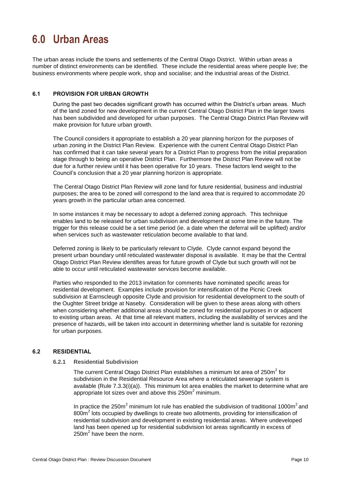# <span id="page-10-0"></span>**6.0 Urban Areas**

The urban areas include the towns and settlements of the Central Otago District. Within urban areas a number of distinct environments can be identified. These include the residential areas where people live; the business environments where people work, shop and socialise; and the industrial areas of the District.

# **6.1 PROVISION FOR URBAN GROWTH**

During the past two decades significant growth has occurred within the District's urban areas. Much of the land zoned for new development in the current Central Otago District Plan in the larger towns has been subdivided and developed for urban purposes. The Central Otago District Plan Review will make provision for future urban growth.

The Council considers it appropriate to establish a 20 year planning horizon for the purposes of urban zoning in the District Plan Review. Experience with the current Central Otago District Plan has confirmed that it can take several years for a District Plan to progress from the initial preparation stage through to being an operative District Plan. Furthermore the District Plan Review will not be due for a further review until it has been operative for 10 years. These factors lend weight to the Council's conclusion that a 20 year planning horizon is appropriate.

The Central Otago District Plan Review will zone land for future residential, business and industrial purposes; the area to be zoned will correspond to the land area that is required to accommodate 20 years growth in the particular urban area concerned.

In some instances it may be necessary to adopt a deferred zoning approach. This technique enables land to be released for urban subdivision and development at some time in the future. The trigger for this release could be a set time period (ie. a date when the deferral will be uplifted) and/or when services such as wastewater reticulation become available to that land.

Deferred zoning is likely to be particularly relevant to Clyde. Clyde cannot expand beyond the present urban boundary until reticulated wastewater disposal is available. It may be that the Central Otago District Plan Review identifies areas for future growth of Clyde but such growth will not be able to occur until reticulated wastewater services become available.

Parties who responded to the 2013 invitation for comments have nominated specific areas for residential development. Examples include provision for intensification of the Picnic Creek subdivision at Earnscleugh opposite Clyde and provision for residential development to the south of the Oughter Street bridge at Naseby. Consideration will be given to these areas along with others when considering whether additional areas should be zoned for residential purposes in or adjacent to existing urban areas. At that time all relevant matters, including the availability of services and the presence of hazards, will be taken into account in determining whether land is suitable for rezoning for urban purposes.

# **6.2 RESIDENTIAL**

# **6.2.1 Residential Subdivision**

The current Central Otago District Plan establishes a minimum lot area of 250 $m^2$  for subdivision in the Residential Resource Area where a reticulated sewerage system is available (Rule  $7.3.3(i)(a)$ ). This minimum lot area enables the market to determine what are appropriate lot sizes over and above this  $250m^2$  minimum.

In practice the 250 $m^2$  minimum lot rule has enabled the subdivision of traditional 1000 $m^2$  and  $800<sup>m²</sup>$  lots occupied by dwellings to create two allotments, providing for intensification of residential subdivision and development in existing residential areas. Where undeveloped land has been opened up for residential subdivision lot areas significantly in excess of  $250m<sup>2</sup>$  have been the norm.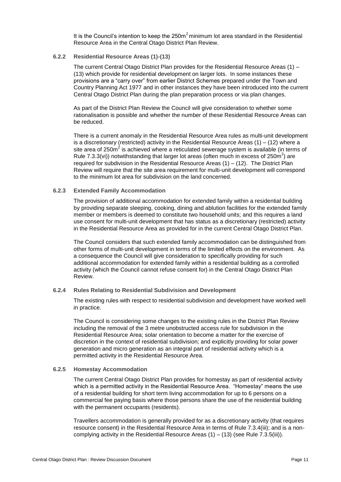It is the Council's intention to keep the  $250m<sup>2</sup>$  minimum lot area standard in the Residential Resource Area in the Central Otago District Plan Review.

#### **6.2.2 Residential Resource Areas (1)-(13)**

The current Central Otago District Plan provides for the Residential Resource Areas (1) – (13) which provide for residential development on larger lots. In some instances these provisions are a "carry over" from earlier District Schemes prepared under the Town and Country Planning Act 1977 and in other instances they have been introduced into the current Central Otago District Plan during the plan preparation process or via plan changes.

As part of the District Plan Review the Council will give consideration to whether some rationalisation is possible and whether the number of these Residential Resource Areas can be reduced.

There is a current anomaly in the Residential Resource Area rules as multi-unit development is a discretionary (restricted) activity in the Residential Resource Areas  $(1) - (12)$  where a site area of 250 $m^2$  is achieved where a reticulated sewerage system is available (in terms of Rule 7.3.3(vi)) notwithstanding that larger lot areas (often much in excess of 250 $\text{m}^2$ ) are required for subdivision in the Residential Resource Areas  $(1) - (12)$ . The District Plan Review will require that the site area requirement for multi-unit development will correspond to the minimum lot area for subdivision on the land concerned.

#### **6.2.3 Extended Family Accommodation**

The provision of additional accommodation for extended family within a residential building by providing separate sleeping, cooking, dining and ablution facilities for the extended family member or members is deemed to constitute two household units; and this requires a land use consent for multi-unit development that has status as a discretionary (restricted) activity in the Residential Resource Area as provided for in the current Central Otago District Plan.

The Council considers that such extended family accommodation can be distinguished from other forms of multi-unit development in terms of the limited effects on the environment. As a consequence the Council will give consideration to specifically providing for such additional accommodation for extended family within a residential building as a controlled activity (which the Council cannot refuse consent for) in the Central Otago District Plan Review.

#### **6.2.4 Rules Relating to Residential Subdivision and Development**

The existing rules with respect to residential subdivision and development have worked well in practice.

The Council is considering some changes to the existing rules in the District Plan Review including the removal of the 3 metre unobstructed access rule for subdivision in the Residential Resource Area; solar orientation to become a matter for the exercise of discretion in the context of residential subdivision; and explicitly providing for solar power generation and micro generation as an integral part of residential activity which is a permitted activity in the Residential Resource Area.

## **6.2.5 Homestay Accommodation**

The current Central Otago District Plan provides for homestay as part of residential activity which is a permitted activity in the Residential Resource Area. "Homestay" means the use of a residential building for short term living accommodation for up to 6 persons on a commercial fee paying basis where those persons share the use of the residential building with the permanent occupants (residents).

Travellers accommodation is generally provided for as a discretionary activity (that requires resource consent) in the Residential Resource Area in terms of Rule 7.3.4(iii); and is a noncomplying activity in the Residential Resource Areas  $(1) - (13)$  (see Rule 7.3.5(iii)).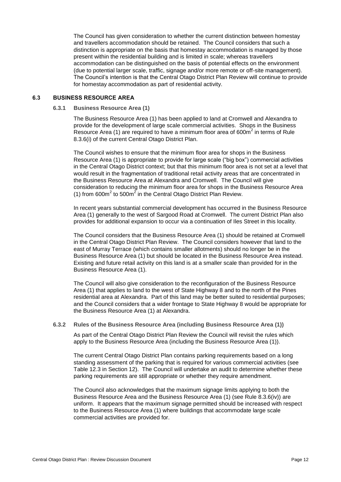The Council has given consideration to whether the current distinction between homestay and travellers accommodation should be retained. The Council considers that such a distinction is appropriate on the basis that homestay accommodation is managed by those present within the residential building and is limited in scale; whereas travellers accommodation can be distinguished on the basis of potential effects on the environment (due to potential larger scale, traffic, signage and/or more remote or off-site management). The Council's intention is that the Central Otago District Plan Review will continue to provide for homestay accommodation as part of residential activity.

#### **6.3 BUSINESS RESOURCE AREA**

#### **6.3.1 Business Resource Area (1)**

The Business Resource Area (1) has been applied to land at Cromwell and Alexandra to provide for the development of large scale commercial activities. Shops in the Business Resource Area (1) are required to have a minimum floor area of 600 $m<sup>2</sup>$  in terms of Rule 8.3.6(i) of the current Central Otago District Plan.

The Council wishes to ensure that the minimum floor area for shops in the Business Resource Area (1) is appropriate to provide for large scale ("big box") commercial activities in the Central Otago District context; but that this minimum floor area is not set at a level that would result in the fragmentation of traditional retail activity areas that are concentrated in the Business Resource Area at Alexandra and Cromwell. The Council will give consideration to reducing the minimum floor area for shops in the Business Resource Area (1) from 600 $m^2$  to 500 $m^2$  in the Central Otago District Plan Review.

In recent years substantial commercial development has occurred in the Business Resource Area (1) generally to the west of Sargood Road at Cromwell. The current District Plan also provides for additional expansion to occur via a continuation of Iles Street in this locality.

The Council considers that the Business Resource Area (1) should be retained at Cromwell in the Central Otago District Plan Review. The Council considers however that land to the east of Murray Terrace (which contains smaller allotments) should no longer be in the Business Resource Area (1) but should be located in the Business Resource Area instead. Existing and future retail activity on this land is at a smaller scale than provided for in the Business Resource Area (1).

The Council will also give consideration to the reconfiguration of the Business Resource Area (1) that applies to land to the west of State Highway 8 and to the north of the Pines residential area at Alexandra. Part of this land may be better suited to residential purposes; and the Council considers that a wider frontage to State Highway 8 would be appropriate for the Business Resource Area (1) at Alexandra.

#### **6.3.2 Rules of the Business Resource Area (including Business Resource Area (1))**

As part of the Central Otago District Plan Review the Council will revisit the rules which apply to the Business Resource Area (including the Business Resource Area (1)).

The current Central Otago District Plan contains parking requirements based on a long standing assessment of the parking that is required for various commercial activities (see Table 12.3 in Section 12). The Council will undertake an audit to determine whether these parking requirements are still appropriate or whether they require amendment.

The Council also acknowledges that the maximum signage limits applying to both the Business Resource Area and the Business Resource Area (1) (see Rule 8.3.6(iv)) are uniform. It appears that the maximum signage permitted should be increased with respect to the Business Resource Area (1) where buildings that accommodate large scale commercial activities are provided for.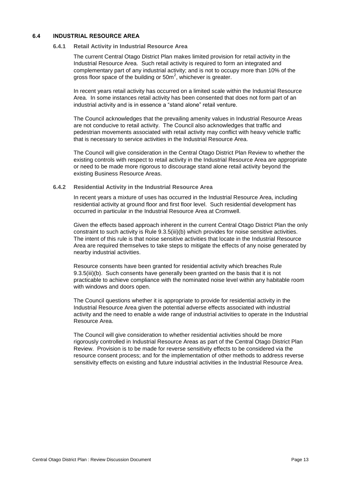### **6.4 INDUSTRIAL RESOURCE AREA**

#### **6.4.1 Retail Activity in Industrial Resource Area**

The current Central Otago District Plan makes limited provision for retail activity in the Industrial Resource Area. Such retail activity is required to form an integrated and complementary part of any industrial activity; and is not to occupy more than 10% of the gross floor space of the building or  $50m^2$ , whichever is greater.

In recent years retail activity has occurred on a limited scale within the Industrial Resource Area. In some instances retail activity has been consented that does not form part of an industrial activity and is in essence a "stand alone" retail venture.

The Council acknowledges that the prevailing amenity values in Industrial Resource Areas are not conducive to retail activity. The Council also acknowledges that traffic and pedestrian movements associated with retail activity may conflict with heavy vehicle traffic that is necessary to service activities in the Industrial Resource Area.

The Council will give consideration in the Central Otago District Plan Review to whether the existing controls with respect to retail activity in the Industrial Resource Area are appropriate or need to be made more rigorous to discourage stand alone retail activity beyond the existing Business Resource Areas.

#### **6.4.2 Residential Activity in the Industrial Resource Area**

In recent years a mixture of uses has occurred in the Industrial Resource Area, including residential activity at ground floor and first floor level. Such residential development has occurred in particular in the Industrial Resource Area at Cromwell.

Given the effects based approach inherent in the current Central Otago District Plan the only constraint to such activity is Rule 9.3.5(iii)(b) which provides for noise sensitive activities. The intent of this rule is that noise sensitive activities that locate in the Industrial Resource Area are required themselves to take steps to mitigate the effects of any noise generated by nearby industrial activities.

Resource consents have been granted for residential activity which breaches Rule 9.3.5(iii)(b). Such consents have generally been granted on the basis that it is not practicable to achieve compliance with the nominated noise level within any habitable room with windows and doors open.

The Council questions whether it is appropriate to provide for residential activity in the Industrial Resource Area given the potential adverse effects associated with industrial activity and the need to enable a wide range of industrial activities to operate in the Industrial Resource Area.

The Council will give consideration to whether residential activities should be more rigorously controlled in Industrial Resource Areas as part of the Central Otago District Plan Review. Provision is to be made for reverse sensitivity effects to be considered via the resource consent process; and for the implementation of other methods to address reverse sensitivity effects on existing and future industrial activities in the Industrial Resource Area.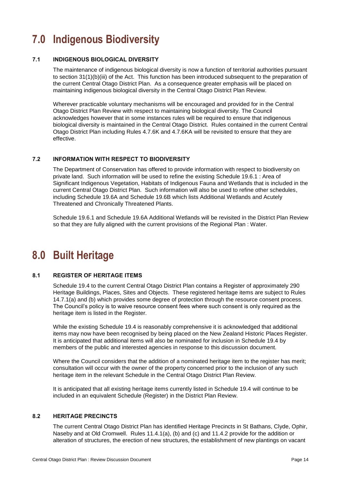# <span id="page-14-0"></span>**7.0 Indigenous Biodiversity**

# **7.1 INDIGENOUS BIOLOGICAL DIVERSITY**

The maintenance of indigenous biological diversity is now a function of territorial authorities pursuant to section 31(1)(b)(iii) of the Act. This function has been introduced subsequent to the preparation of the current Central Otago District Plan. As a consequence greater emphasis will be placed on maintaining indigenous biological diversity in the Central Otago District Plan Review.

Wherever practicable voluntary mechanisms will be encouraged and provided for in the Central Otago District Plan Review with respect to maintaining biological diversity. The Council acknowledges however that in some instances rules will be required to ensure that indigenous biological diversity is maintained in the Central Otago District. Rules contained in the current Central Otago District Plan including Rules 4.7.6K and 4.7.6KA will be revisited to ensure that they are effective.

# **7.2 INFORMATION WITH RESPECT TO BIODIVERSITY**

The Department of Conservation has offered to provide information with respect to biodiversity on private land. Such information will be used to refine the existing Schedule 19.6.1 : Area of Significant Indigenous Vegetation, Habitats of Indigenous Fauna and Wetlands that is included in the current Central Otago District Plan. Such information will also be used to refine other schedules, including Schedule 19.6A and Schedule 19.6B which lists Additional Wetlands and Acutely Threatened and Chronically Threatened Plants.

Schedule 19.6.1 and Schedule 19.6A Additional Wetlands will be revisited in the District Plan Review so that they are fully aligned with the current provisions of the Regional Plan : Water.

# <span id="page-14-1"></span>**8.0 Built Heritage**

## **8.1 REGISTER OF HERITAGE ITEMS**

Schedule 19.4 to the current Central Otago District Plan contains a Register of approximately 290 Heritage Buildings, Places, Sites and Objects. These registered heritage items are subject to Rules 14.7.1(a) and (b) which provides some degree of protection through the resource consent process. The Council's policy is to waive resource consent fees where such consent is only required as the heritage item is listed in the Register.

While the existing Schedule 19.4 is reasonably comprehensive it is acknowledged that additional items may now have been recognised by being placed on the New Zealand Historic Places Register. It is anticipated that additional items will also be nominated for inclusion in Schedule 19.4 by members of the public and interested agencies in response to this discussion document.

Where the Council considers that the addition of a nominated heritage item to the register has merit; consultation will occur with the owner of the property concerned prior to the inclusion of any such heritage item in the relevant Schedule in the Central Otago District Plan Review.

It is anticipated that all existing heritage items currently listed in Schedule 19.4 will continue to be included in an equivalent Schedule (Register) in the District Plan Review.

# **8.2 HERITAGE PRECINCTS**

The current Central Otago District Plan has identified Heritage Precincts in St Bathans, Clyde, Ophir, Naseby and at Old Cromwell. Rules 11.4.1(a), (b) and (c) and 11.4.2 provide for the addition or alteration of structures, the erection of new structures, the establishment of new plantings on vacant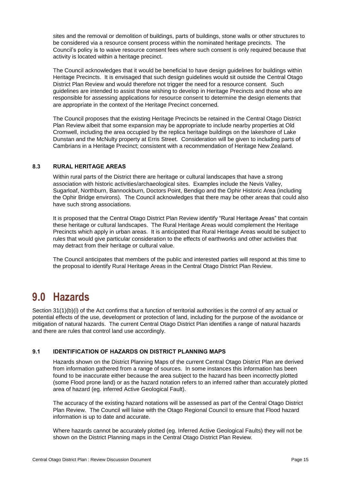sites and the removal or demolition of buildings, parts of buildings, stone walls or other structures to be considered via a resource consent process within the nominated heritage precincts. The Council's policy is to waive resource consent fees where such consent is only required because that activity is located within a heritage precinct.

The Council acknowledges that it would be beneficial to have design guidelines for buildings within Heritage Precincts. It is envisaged that such design guidelines would sit outside the Central Otago District Plan Review and would therefore not trigger the need for a resource consent. Such guidelines are intended to assist those wishing to develop in Heritage Precincts and those who are responsible for assessing applications for resource consent to determine the design elements that are appropriate in the context of the Heritage Precinct concerned.

The Council proposes that the existing Heritage Precincts be retained in the Central Otago District Plan Review albeit that some expansion may be appropriate to include nearby properties at Old Cromwell, including the area occupied by the replica heritage buildings on the lakeshore of Lake Dunstan and the McNulty property at Erris Street. Consideration will be given to including parts of Cambrians in a Heritage Precinct; consistent with a recommendation of Heritage New Zealand.

# **8.3 RURAL HERITAGE AREAS**

Within rural parts of the District there are heritage or cultural landscapes that have a strong association with historic activities/archaeological sites. Examples include the Nevis Valley, Sugarloaf, Northburn, Bannockburn, Doctors Point, Bendigo and the Ophir Historic Area (including the Ophir Bridge environs). The Council acknowledges that there may be other areas that could also have such strong associations.

It is proposed that the Central Otago District Plan Review identify "Rural Heritage Areas" that contain these heritage or cultural landscapes. The Rural Heritage Areas would complement the Heritage Precincts which apply in urban areas. It is anticipated that Rural Heritage Areas would be subject to rules that would give particular consideration to the effects of earthworks and other activities that may detract from their heritage or cultural value.

The Council anticipates that members of the public and interested parties will respond at this time to the proposal to identify Rural Heritage Areas in the Central Otago District Plan Review.

# <span id="page-15-0"></span>**9.0 Hazards**

Section 31(1)(b)(i) of the Act confirms that a function of territorial authorities is the control of any actual or potential effects of the use, development or protection of land, including for the purpose of the avoidance or mitigation of natural hazards. The current Central Otago District Plan identifies a range of natural hazards and there are rules that control land use accordingly.

## **9.1 IDENTIFICATION OF HAZARDS ON DISTRICT PLANNING MAPS**

Hazards shown on the District Planning Maps of the current Central Otago District Plan are derived from information gathered from a range of sources. In some instances this information has been found to be inaccurate either because the area subject to the hazard has been incorrectly plotted (some Flood prone land) or as the hazard notation refers to an inferred rather than accurately plotted area of hazard (eg. inferred Active Geological Fault).

The accuracy of the existing hazard notations will be assessed as part of the Central Otago District Plan Review. The Council will liaise with the Otago Regional Council to ensure that Flood hazard information is up to date and accurate.

Where hazards cannot be accurately plotted (eg. Inferred Active Geological Faults) they will not be shown on the District Planning maps in the Central Otago District Plan Review.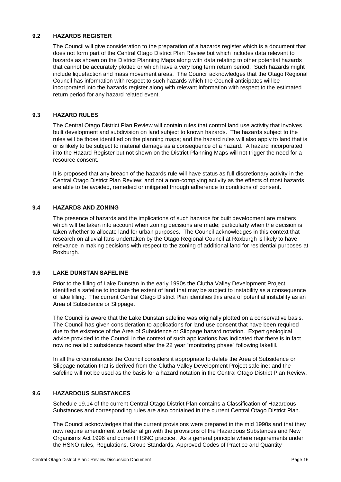# **9.2 HAZARDS REGISTER**

The Council will give consideration to the preparation of a hazards register which is a document that does not form part of the Central Otago District Plan Review but which includes data relevant to hazards as shown on the District Planning Maps along with data relating to other potential hazards that cannot be accurately plotted or which have a very long term return period. Such hazards might include liquefaction and mass movement areas. The Council acknowledges that the Otago Regional Council has information with respect to such hazards which the Council anticipates will be incorporated into the hazards register along with relevant information with respect to the estimated return period for any hazard related event.

# **9.3 HAZARD RULES**

The Central Otago District Plan Review will contain rules that control land use activity that involves built development and subdivision on land subject to known hazards. The hazards subject to the rules will be those identified on the planning maps; and the hazard rules will also apply to land that is or is likely to be subject to material damage as a consequence of a hazard. A hazard incorporated into the Hazard Register but not shown on the District Planning Maps will not trigger the need for a resource consent.

It is proposed that any breach of the hazards rule will have status as full discretionary activity in the Central Otago District Plan Review; and not a non-complying activity as the effects of most hazards are able to be avoided, remedied or mitigated through adherence to conditions of consent.

# **9.4 HAZARDS AND ZONING**

The presence of hazards and the implications of such hazards for built development are matters which will be taken into account when zoning decisions are made; particularly when the decision is taken whether to allocate land for urban purposes. The Council acknowledges in this context that research on alluvial fans undertaken by the Otago Regional Council at Roxburgh is likely to have relevance in making decisions with respect to the zoning of additional land for residential purposes at Roxburgh.

## **9.5 LAKE DUNSTAN SAFELINE**

Prior to the filling of Lake Dunstan in the early 1990s the Clutha Valley Development Project identified a safeline to indicate the extent of land that may be subject to instability as a consequence of lake filling. The current Central Otago District Plan identifies this area of potential instability as an Area of Subsidence or Slippage.

The Council is aware that the Lake Dunstan safeline was originally plotted on a conservative basis. The Council has given consideration to applications for land use consent that have been required due to the existence of the Area of Subsidence or Slippage hazard notation. Expert geological advice provided to the Council in the context of such applications has indicated that there is in fact now no realistic subsidence hazard after the 22 year "monitoring phase" following lakefill.

In all the circumstances the Council considers it appropriate to delete the Area of Subsidence or Slippage notation that is derived from the Clutha Valley Development Project safeline; and the safeline will not be used as the basis for a hazard notation in the Central Otago District Plan Review.

## **9.6 HAZARDOUS SUBSTANCES**

Schedule 19.14 of the current Central Otago District Plan contains a Classification of Hazardous Substances and corresponding rules are also contained in the current Central Otago District Plan.

The Council acknowledges that the current provisions were prepared in the mid 1990s and that they now require amendment to better align with the provisions of the Hazardous Substances and New Organisms Act 1996 and current HSNO practice. As a general principle where requirements under the HSNO rules, Regulations, Group Standards, Approved Codes of Practice and Quantity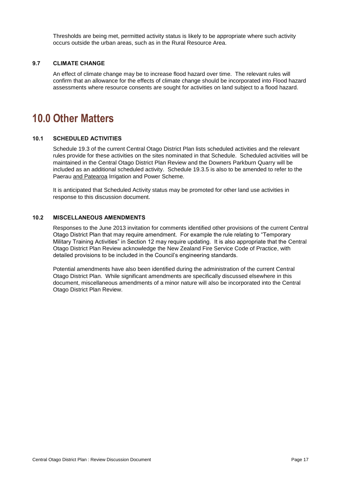Thresholds are being met, permitted activity status is likely to be appropriate where such activity occurs outside the urban areas, such as in the Rural Resource Area.

#### **9.7 CLIMATE CHANGE**

An effect of climate change may be to increase flood hazard over time. The relevant rules will confirm that an allowance for the effects of climate change should be incorporated into Flood hazard assessments where resource consents are sought for activities on land subject to a flood hazard.

# <span id="page-17-0"></span>**10.0 Other Matters**

#### **10.1 SCHEDULED ACTIVITIES**

Schedule 19.3 of the current Central Otago District Plan lists scheduled activities and the relevant rules provide for these activities on the sites nominated in that Schedule. Scheduled activities will be maintained in the Central Otago District Plan Review and the Downers Parkburn Quarry will be included as an additional scheduled activity. Schedule 19.3.5 is also to be amended to refer to the Paerau and Patearoa Irrigation and Power Scheme.

It is anticipated that Scheduled Activity status may be promoted for other land use activities in response to this discussion document.

#### **10.2 MISCELLANEOUS AMENDMENTS**

Responses to the June 2013 invitation for comments identified other provisions of the current Central Otago District Plan that may require amendment. For example the rule relating to "Temporary Military Training Activities" in Section 12 may require updating. It is also appropriate that the Central Otago District Plan Review acknowledge the New Zealand Fire Service Code of Practice, with detailed provisions to be included in the Council's engineering standards.

Potential amendments have also been identified during the administration of the current Central Otago District Plan. While significant amendments are specifically discussed elsewhere in this document, miscellaneous amendments of a minor nature will also be incorporated into the Central Otago District Plan Review.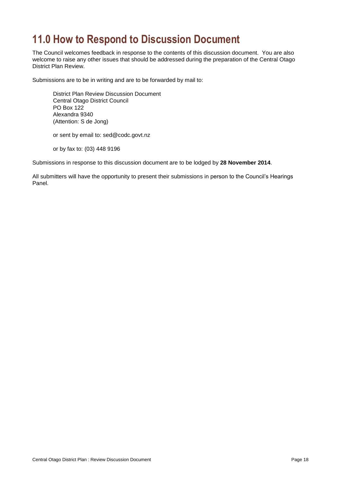# <span id="page-18-0"></span>**11.0 How to Respond to Discussion Document**

The Council welcomes feedback in response to the contents of this discussion document. You are also welcome to raise any other issues that should be addressed during the preparation of the Central Otago District Plan Review.

Submissions are to be in writing and are to be forwarded by mail to:

District Plan Review Discussion Document Central Otago District Council PO Box 122 Alexandra 9340 (Attention: S de Jong)

or sent by email to: [sed@codc.govt.nz](mailto:sed@codc.govt.nz)

or by fax to: (03) 448 9196

Submissions in response to this discussion document are to be lodged by **28 November 2014**.

All submitters will have the opportunity to present their submissions in person to the Council's Hearings Panel.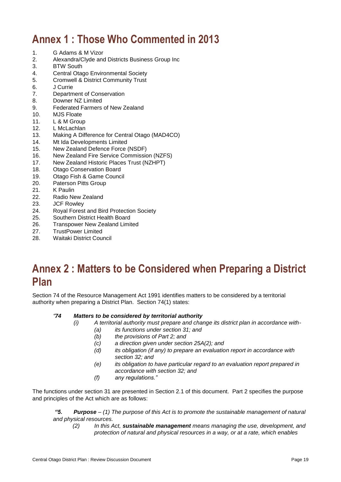# <span id="page-19-0"></span>**Annex 1 : Those Who Commented in 2013**

- 1. G Adams & M Vizor
- 2. Alexandra/Clyde and Districts Business Group Inc
- 3. BTW South<br>4 Central Ota
- 4. Central Otago Environmental Society
- 5. Cromwell & District Community Trust
- 6. J Currie
- 7. Department of Conservation
- 8. Downer NZ Limited
- 9. Federated Farmers of New Zealand
- 10. MJS Floate
- 11. L & M Group
- 12. L McLachlan
- 13. Making A Difference for Central Otago (MAD4CO)
- 14. Mt Ida Developments Limited
- 15. New Zealand Defence Force (NSDF)
- 16. New Zealand Fire Service Commission (NZFS)
- 17. New Zealand Historic Places Trust (NZHPT)
- 18. Otago Conservation Board
- 19. Otago Fish & Game Council
- 20. Paterson Pitts Group
- 21. K Paulin
- 22. Radio New Zealand
- 23. JCF Rowley
- 24. Royal Forest and Bird Protection Society
- 25. Southern District Health Board
- 26. Transpower New Zealand Limited
- 27. TrustPower Limited
- 28. Waitaki District Council

# <span id="page-19-1"></span>**Annex 2 : Matters to be Considered when Preparing a District Plan**

Section 74 of the Resource Management Act 1991 identifies matters to be considered by a territorial authority when preparing a District Plan. Section 74(1) states:

# *"74 Matters to be considered by territorial authority*

- *(i) A territorial authority must prepare and change its district plan in accordance with-*
	- *(a) its functions under section 31; and*
	- *(b) the provisions of Part 2; and*
	- *(c) a direction given under section 25A(2); and*
	- *(d) its obligation (if any) to prepare an evaluation report in accordance with section 32; and*
	- *(e) its obligation to have particular regard to an evaluation report prepared in accordance with section 32; and*
	- *(f) any regulations."*

The functions under section 31 are presented in Section 2.1 of this document. Part 2 specifies the purpose and principles of the Act which are as follows:

*"5. Purpose – (1) The purpose of this Act is to promote the sustainable management of natural and physical resources.*

*(2) In this Act, sustainable management means managing the use, development, and protection of natural and physical resources in a way, or at a rate, which enables*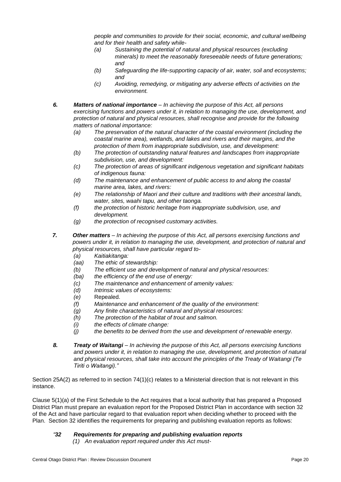*people and communities to provide for their social, economic, and cultural wellbeing and for their health and safety while-*

- *(a) Sustaining the potential of natural and physical resources (excluding minerals) to meet the reasonably foreseeable needs of future generations; and*
- *(b) Safeguarding the life-supporting capacity of air, water, soil and ecosystems; and*
- *(c) Avoiding, remedying, or mitigating any adverse effects of activities on the environment.*
- *6. Matters of national importance – In achieving the purpose of this Act, all persons exercising functions and powers under it, in relation to managing the use, development, and protection of natural and physical resources, shall recognise and provide for the following matters of national importance:*
	- *(a) The preservation of the natural character of the coastal environment (including the coastal marine area), wetlands, and lakes and rivers and their margins, and the protection of them from inappropriate subdivision, use, and development:*
	- *(b) The protection of outstanding natural features and landscapes from inappropriate subdivision, use, and development:*
	- *(c) The protection of areas of significant indigenous vegetation and significant habitats of indigenous fauna:*
	- *(d) The maintenance and enhancement of public access to and along the coastal marine area, lakes, and rivers:*
	- *(e) The relationship of Maori and their culture and traditions with their ancestral lands, water, sites, waahi tapu, and other taonga.*
	- *(f) the protection of historic heritage from inappropriate subdivision, use, and development.*
	- *(g) the protection of recognised customary activities.*
- *7. Other matters – In achieving the purpose of this Act, all persons exercising functions and powers under it, in relation to managing the use, development, and protection of natural and physical resources, shall have particular regard to-*
	- *(a) Kaitiakitanga:*
	- *(aa) The ethic of stewardship:*
	- *(b) The efficient use and development of natural and physical resources:*
	- *(ba) the efficiency of the end use of energy:*
	- *(c) The maintenance and enhancement of amenity values:*
	- *(d) Intrinsic values of ecosystems:*
	- *(e)* Repealed.
	- *(f) Maintenance and enhancement of the quality of the environment:*
	- *(g) Any finite characteristics of natural and physical resources:*
	- *(h) The protection of the habitat of trout and salmon.*
	- *(i) the effects of climate change:*
	- *(j) the benefits to be derived from the use and development of renewable energy.*
- *8. Treaty of Waitangi – In achieving the purpose of this Act, all persons exercising functions and powers under it, in relation to managing the use, development, and protection of natural and physical resources, shall take into account the principles of the Treaty of Waitangi (Te Tiriti o Waitangi)."*

Section 25A(2) as referred to in section 74(1)(c) relates to a Ministerial direction that is not relevant in this instance.

Clause 5(1)(a) of the First Schedule to the Act requires that a local authority that has prepared a Proposed District Plan must prepare an evaluation report for the Proposed District Plan in accordance with section 32 of the Act and have particular regard to that evaluation report when deciding whether to proceed with the Plan. Section 32 identifies the requirements for preparing and publishing evaluation reports as follows:

## *"32 Requirements for preparing and publishing evaluation reports*

*(1) An evaluation report required under this Act must-*